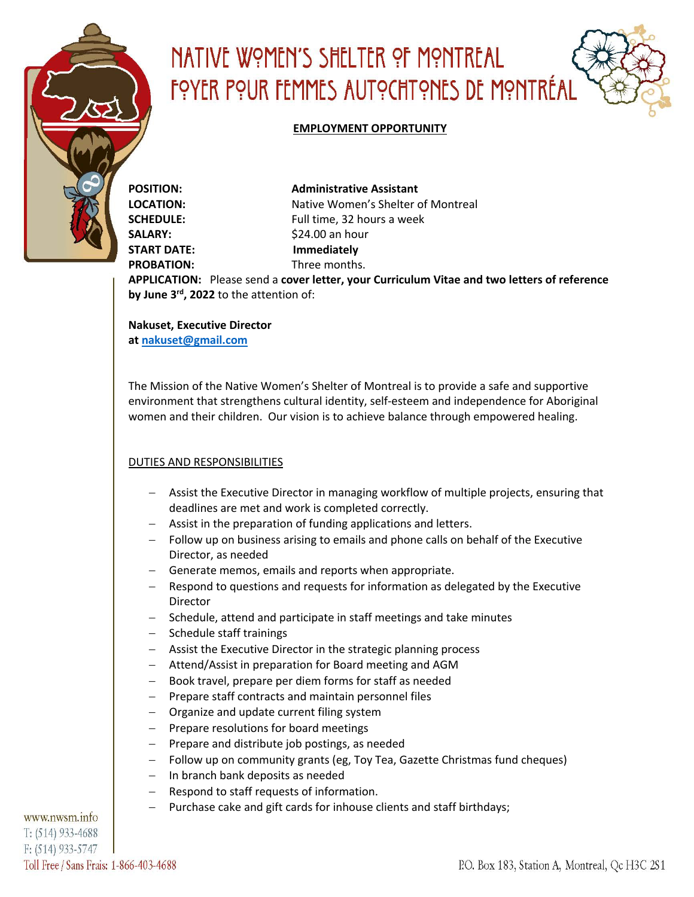

# NATIVE WOMEN'S SHELTER OF MONTREAL FOYER POUR FEMMES AUTOCHTONES DE MONTRÉAL

#### **EMPLOYMENT OPPORTUNITY**

**POSITION: Administrative Assistant LOCATION:** Native Women's Shelter of Montreal **SCHEDULE:** Full time, 32 hours a week **SALARY:** \$24.00 an hour **START DATE: Immediately PROBATION:** Three months.

**APPLICATION:** Please send a **cover letter, your Curriculum Vitae and two letters of reference by June 3rd, 2022** to the attention of:

**Nakuset, Executive Director at nakuset@gmail.com**

The Mission of the Native Women's Shelter of Montreal is to provide a safe and supportive environment that strengthens cultural identity, self-esteem and independence for Aboriginal women and their children. Our vision is to achieve balance through empowered healing.

## DUTIES AND RESPONSIBILITIES

- Assist the Executive Director in managing workflow of multiple projects, ensuring that deadlines are met and work is completed correctly.
- Assist in the preparation of funding applications and letters.
- Follow up on business arising to emails and phone calls on behalf of the Executive Director, as needed
- Generate memos, emails and reports when appropriate.
- Respond to questions and requests for information as delegated by the Executive Director
- Schedule, attend and participate in staff meetings and take minutes
- Schedule staff trainings
- Assist the Executive Director in the strategic planning process
- Attend/Assist in preparation for Board meeting and AGM
- Book travel, prepare per diem forms for staff as needed
- Prepare staff contracts and maintain personnel files
- Organize and update current filing system
- Prepare resolutions for board meetings
- Prepare and distribute job postings, as needed
- Follow up on community grants (eg, Toy Tea, Gazette Christmas fund cheques)
- In branch bank deposits as needed
- Respond to staff requests of information.
- Purchase cake and gift cards for inhouse clients and staff birthdays;

www.nwsm.info  $T: (514) 933-4688$  $F: (514) 933 - 5747$ Toll Free / Sans Frais: 1-866-403-4688